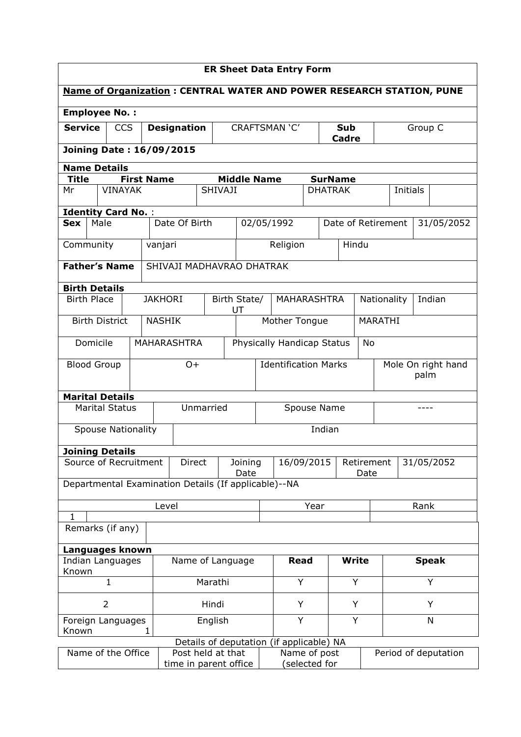| <b>ER Sheet Data Entry Form</b>  |                       |  |                           |                    |                                                      |                           |                                  |   |                                          |                    |                    |                            |                      |                       |                                                                             |
|----------------------------------|-----------------------|--|---------------------------|--------------------|------------------------------------------------------|---------------------------|----------------------------------|---|------------------------------------------|--------------------|--------------------|----------------------------|----------------------|-----------------------|-----------------------------------------------------------------------------|
|                                  |                       |  |                           |                    |                                                      |                           |                                  |   |                                          |                    |                    |                            |                      |                       | <b>Name of Organization: CENTRAL WATER AND POWER RESEARCH STATION, PUNE</b> |
| <b>Employee No.:</b>             |                       |  |                           |                    |                                                      |                           |                                  |   |                                          |                    |                    |                            |                      |                       |                                                                             |
| <b>Service</b><br><b>CCS</b>     |                       |  |                           | <b>Designation</b> |                                                      |                           | CRAFTSMAN 'C'                    |   |                                          | Sub<br>Cadre       |                    | Group C                    |                      |                       |                                                                             |
| <b>Joining Date: 16/09/2015</b>  |                       |  |                           |                    |                                                      |                           |                                  |   |                                          |                    |                    |                            |                      |                       |                                                                             |
|                                  | <b>Name Details</b>   |  |                           |                    |                                                      |                           |                                  |   |                                          |                    |                    |                            |                      |                       |                                                                             |
| <b>Title</b>                     |                       |  | <b>First Name</b>         |                    |                                                      |                           | <b>Middle Name</b>               |   |                                          |                    | <b>SurName</b>     |                            |                      |                       |                                                                             |
| Mr                               |                       |  | <b>VINAYAK</b>            |                    | <b>SHIVAJI</b>                                       |                           |                                  |   | <b>DHATRAK</b>                           |                    |                    |                            |                      | Initials              |                                                                             |
|                                  |                       |  | <b>Identity Card No.:</b> |                    |                                                      |                           |                                  |   |                                          |                    |                    |                            |                      |                       |                                                                             |
| <b>Sex</b>                       | Male                  |  |                           |                    | Date Of Birth                                        |                           |                                  |   | 02/05/1992                               |                    | Date of Retirement |                            |                      |                       | 31/05/2052                                                                  |
| Community                        |                       |  |                           | vanjari            |                                                      |                           |                                  |   | Religion                                 |                    | Hindu              |                            |                      |                       |                                                                             |
| <b>Father's Name</b>             |                       |  |                           |                    | SHIVAJI MADHAVRAO DHATRAK                            |                           |                                  |   |                                          |                    |                    |                            |                      |                       |                                                                             |
| <b>Birth Details</b>             |                       |  |                           |                    |                                                      |                           |                                  |   |                                          |                    |                    |                            |                      |                       |                                                                             |
|                                  | <b>Birth Place</b>    |  |                           |                    | <b>JAKHORI</b>                                       |                           | Birth State/<br>UT               |   |                                          | <b>MAHARASHTRA</b> |                    |                            |                      | Indian<br>Nationality |                                                                             |
| <b>Birth District</b>            |                       |  |                           | <b>NASHIK</b>      |                                                      |                           | Mother Tongue                    |   |                                          |                    |                    | MARATHI                    |                      |                       |                                                                             |
| Domicile                         |                       |  |                           | <b>MAHARASHTRA</b> |                                                      |                           | Physically Handicap Status<br>No |   |                                          |                    |                    |                            |                      |                       |                                                                             |
| <b>Blood Group</b>               |                       |  |                           | $O+$               |                                                      |                           | <b>Identification Marks</b>      |   |                                          |                    |                    | Mole On right hand<br>palm |                      |                       |                                                                             |
| <b>Marital Details</b>           |                       |  |                           |                    |                                                      |                           |                                  |   |                                          |                    |                    |                            |                      |                       |                                                                             |
|                                  | <b>Marital Status</b> |  |                           |                    |                                                      | Unmarried                 |                                  |   | Spouse Name                              |                    |                    |                            | ----                 |                       |                                                                             |
|                                  |                       |  | <b>Spouse Nationality</b> |                    |                                                      | Indian                    |                                  |   |                                          |                    |                    |                            |                      |                       |                                                                             |
| <b>Joining Details</b>           |                       |  |                           |                    |                                                      |                           |                                  |   |                                          |                    |                    |                            |                      |                       |                                                                             |
| Source of Recruitment            |                       |  |                           |                    |                                                      | Direct<br>Joining<br>Date |                                  |   | 16/09/2015<br>Retirement                 |                    |                    | Date                       | 31/05/2052           |                       |                                                                             |
|                                  |                       |  |                           |                    | Departmental Examination Details (If applicable)--NA |                           |                                  |   |                                          |                    |                    |                            |                      |                       |                                                                             |
| Level                            |                       |  |                           |                    | Year                                                 |                           |                                  |   |                                          |                    | Rank               |                            |                      |                       |                                                                             |
| $\mathbf{1}$<br>Remarks (if any) |                       |  |                           |                    |                                                      |                           |                                  |   |                                          |                    |                    |                            |                      |                       |                                                                             |
|                                  |                       |  |                           |                    |                                                      |                           |                                  |   |                                          |                    |                    |                            |                      |                       |                                                                             |
| Languages known                  |                       |  |                           |                    |                                                      |                           |                                  |   |                                          |                    |                    |                            |                      |                       |                                                                             |
| Indian Languages<br>Known        |                       |  |                           | Name of Language   |                                                      |                           | <b>Read</b>                      |   |                                          | <b>Write</b>       |                    | <b>Speak</b>               |                      |                       |                                                                             |
| $\mathbf{1}$                     |                       |  |                           | Marathi            |                                                      |                           | Y                                |   |                                          | Y                  |                    |                            |                      | Y                     |                                                                             |
| $\overline{2}$                   |                       |  |                           | Hindi              |                                                      |                           |                                  | Y |                                          | Y                  |                    |                            | Υ                    |                       |                                                                             |
| Foreign Languages<br>Known       |                       |  | 1                         |                    |                                                      | English                   |                                  |   | Y                                        |                    | Y                  |                            | N                    |                       |                                                                             |
|                                  |                       |  |                           |                    |                                                      |                           |                                  |   | Details of deputation (if applicable) NA |                    |                    |                            |                      |                       |                                                                             |
| Name of the Office               |                       |  |                           |                    | Post held at that<br>time in parent office           |                           |                                  |   | Name of post<br>(selected for            |                    |                    |                            | Period of deputation |                       |                                                                             |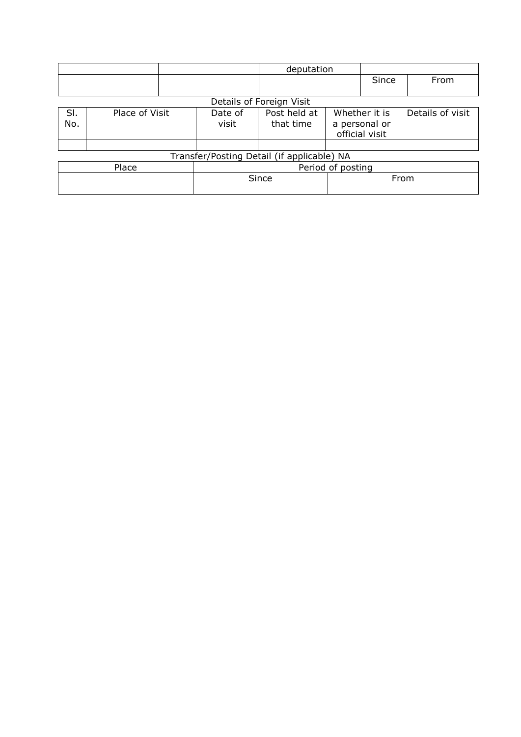|            |                |                  | deputation                                 |      |                                                  |                  |
|------------|----------------|------------------|--------------------------------------------|------|--------------------------------------------------|------------------|
|            |                |                  |                                            |      | Since                                            | From             |
|            |                |                  |                                            |      |                                                  |                  |
|            |                |                  | Details of Foreign Visit                   |      |                                                  |                  |
| SI.<br>No. | Place of Visit | Date of<br>visit | Post held at<br>that time                  |      | Whether it is<br>a personal or<br>official visit | Details of visit |
|            |                |                  | Transfer/Posting Detail (if applicable) NA |      |                                                  |                  |
|            | Place          |                  | Period of posting                          |      |                                                  |                  |
|            |                | Since            |                                            | From |                                                  |                  |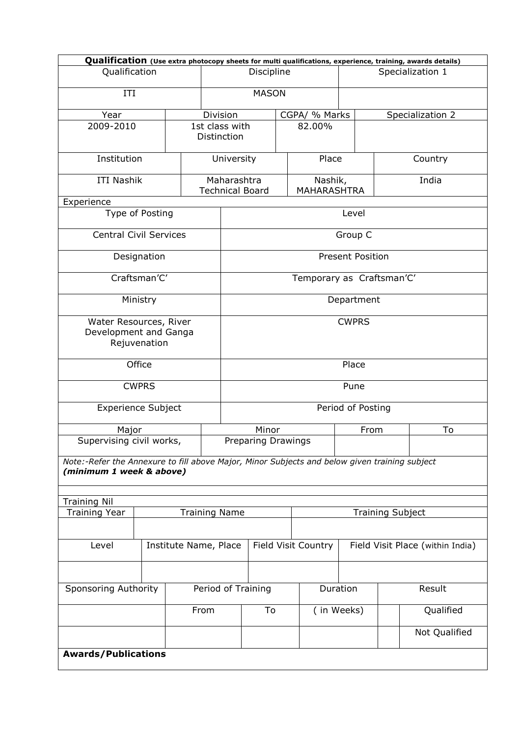|                                                                                                                           |              |  |                                       |                    |  |                               |                         |                  |                                  | Qualification (Use extra photocopy sheets for multi qualifications, experience, training, awards details) |  |
|---------------------------------------------------------------------------------------------------------------------------|--------------|--|---------------------------------------|--------------------|--|-------------------------------|-------------------------|------------------|----------------------------------|-----------------------------------------------------------------------------------------------------------|--|
| Qualification                                                                                                             |              |  |                                       | Discipline         |  |                               |                         | Specialization 1 |                                  |                                                                                                           |  |
| ITI                                                                                                                       |              |  |                                       | <b>MASON</b>       |  |                               |                         |                  |                                  |                                                                                                           |  |
| Year                                                                                                                      |              |  | Division                              |                    |  | CGPA/ % Marks                 |                         |                  |                                  | Specialization 2                                                                                          |  |
| 2009-2010                                                                                                                 |              |  | 1st class with<br>Distinction         |                    |  | 82.00%                        |                         |                  |                                  |                                                                                                           |  |
| Institution                                                                                                               |              |  |                                       | University         |  | Place                         |                         |                  | Country                          |                                                                                                           |  |
| <b>ITI Nashik</b>                                                                                                         |              |  | Maharashtra<br><b>Technical Board</b> |                    |  | Nashik,<br><b>MAHARASHTRA</b> | India                   |                  |                                  |                                                                                                           |  |
| Experience                                                                                                                |              |  |                                       |                    |  |                               |                         |                  |                                  |                                                                                                           |  |
| Type of Posting                                                                                                           |              |  |                                       |                    |  |                               | Level                   |                  |                                  |                                                                                                           |  |
| <b>Central Civil Services</b>                                                                                             |              |  |                                       |                    |  |                               | Group C                 |                  |                                  |                                                                                                           |  |
|                                                                                                                           | Designation  |  |                                       |                    |  | <b>Present Position</b>       |                         |                  |                                  |                                                                                                           |  |
|                                                                                                                           | Craftsman'C' |  |                                       |                    |  | Temporary as Craftsman'C'     |                         |                  |                                  |                                                                                                           |  |
|                                                                                                                           | Ministry     |  |                                       |                    |  |                               | Department              |                  |                                  |                                                                                                           |  |
| Water Resources, River<br>Development and Ganga<br>Rejuvenation                                                           |              |  |                                       | <b>CWPRS</b>       |  |                               |                         |                  |                                  |                                                                                                           |  |
|                                                                                                                           | Office       |  |                                       | Place              |  |                               |                         |                  |                                  |                                                                                                           |  |
|                                                                                                                           | <b>CWPRS</b> |  |                                       |                    |  |                               | Pune                    |                  |                                  |                                                                                                           |  |
| <b>Experience Subject</b>                                                                                                 |              |  |                                       | Period of Posting  |  |                               |                         |                  |                                  |                                                                                                           |  |
| Major                                                                                                                     |              |  |                                       | Minor              |  |                               |                         | From             |                                  | To                                                                                                        |  |
| Supervising civil works,                                                                                                  |              |  |                                       | Preparing Drawings |  |                               |                         |                  |                                  |                                                                                                           |  |
| Note:-Refer the Annexure to fill above Major, Minor Subjects and below given training subject<br>(minimum 1 week & above) |              |  |                                       |                    |  |                               |                         |                  |                                  |                                                                                                           |  |
|                                                                                                                           |              |  |                                       |                    |  |                               |                         |                  |                                  |                                                                                                           |  |
| <b>Training Nil</b>                                                                                                       |              |  |                                       |                    |  |                               |                         |                  |                                  |                                                                                                           |  |
| <b>Training Year</b>                                                                                                      |              |  | <b>Training Name</b>                  |                    |  |                               | <b>Training Subject</b> |                  |                                  |                                                                                                           |  |
| Level                                                                                                                     |              |  | Institute Name, Place                 |                    |  | Field Visit Country           |                         |                  | Field Visit Place (within India) |                                                                                                           |  |
|                                                                                                                           |              |  |                                       |                    |  |                               |                         |                  |                                  |                                                                                                           |  |
| <b>Sponsoring Authority</b>                                                                                               |              |  | Period of Training                    |                    |  |                               | Duration                |                  |                                  | Result                                                                                                    |  |
| From                                                                                                                      |              |  |                                       | To                 |  | (in Weeks)                    |                         |                  |                                  | Qualified                                                                                                 |  |
|                                                                                                                           |              |  |                                       |                    |  |                               |                         |                  |                                  | Not Qualified                                                                                             |  |
| <b>Awards/Publications</b>                                                                                                |              |  |                                       |                    |  |                               |                         |                  |                                  |                                                                                                           |  |